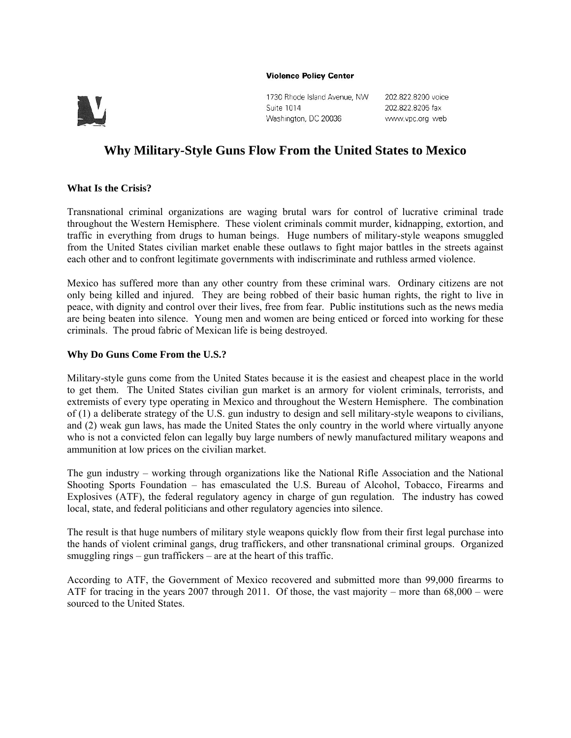#### **Violence Policy Center**



1730 Rhode Island Avenue, NW Suite 1014 Washington, DC 20036

202.822.8200 voice 202.822.8205 fax www.vpc.org web

# **Why Military-Style Guns Flow From the United States to Mexico**

## **What Is the Crisis?**

Transnational criminal organizations are waging brutal wars for control of lucrative criminal trade throughout the Western Hemisphere. These violent criminals commit murder, kidnapping, extortion, and traffic in everything from drugs to human beings. Huge numbers of military-style weapons smuggled from the United States civilian market enable these outlaws to fight major battles in the streets against each other and to confront legitimate governments with indiscriminate and ruthless armed violence.

Mexico has suffered more than any other country from these criminal wars. Ordinary citizens are not only being killed and injured. They are being robbed of their basic human rights, the right to live in peace, with dignity and control over their lives, free from fear. Public institutions such as the news media are being beaten into silence. Young men and women are being enticed or forced into working for these criminals. The proud fabric of Mexican life is being destroyed.

# **Why Do Guns Come From the U.S.?**

Military-style guns come from the United States because it is the easiest and cheapest place in the world to get them. The United States civilian gun market is an armory for violent criminals, terrorists, and extremists of every type operating in Mexico and throughout the Western Hemisphere. The combination of (1) a deliberate strategy of the U.S. gun industry to design and sell military-style weapons to civilians, and (2) weak gun laws, has made the United States the only country in the world where virtually anyone who is not a convicted felon can legally buy large numbers of newly manufactured military weapons and ammunition at low prices on the civilian market.

The gun industry – working through organizations like the National Rifle Association and the National Shooting Sports Foundation – has emasculated the U.S. Bureau of Alcohol, Tobacco, Firearms and Explosives (ATF), the federal regulatory agency in charge of gun regulation. The industry has cowed local, state, and federal politicians and other regulatory agencies into silence.

The result is that huge numbers of military style weapons quickly flow from their first legal purchase into the hands of violent criminal gangs, drug traffickers, and other transnational criminal groups. Organized smuggling rings – gun traffickers – are at the heart of this traffic.

According to ATF, the Government of Mexico recovered and submitted more than 99,000 firearms to ATF for tracing in the years 2007 through 2011. Of those, the vast majority – more than 68,000 – were sourced to the United States.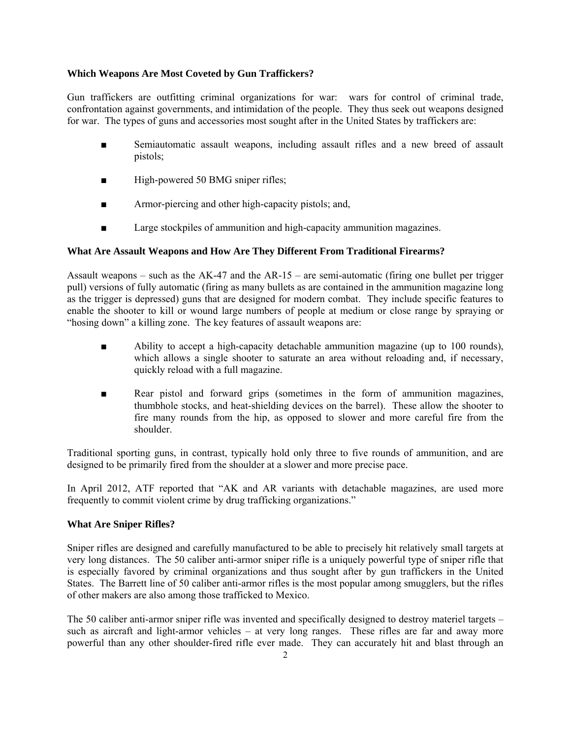## **Which Weapons Are Most Coveted by Gun Traffickers?**

Gun traffickers are outfitting criminal organizations for war: wars for control of criminal trade, confrontation against governments, and intimidation of the people. They thus seek out weapons designed for war. The types of guns and accessories most sought after in the United States by traffickers are:

- Semiautomatic assault weapons, including assault rifles and a new breed of assault pistols;
- High-powered 50 BMG sniper rifles;
- Armor-piercing and other high-capacity pistols; and,
- Large stockpiles of ammunition and high-capacity ammunition magazines.

# **What Are Assault Weapons and How Are They Different From Traditional Firearms?**

Assault weapons – such as the AK-47 and the AR-15 – are semi-automatic (firing one bullet per trigger pull) versions of fully automatic (firing as many bullets as are contained in the ammunition magazine long as the trigger is depressed) guns that are designed for modern combat. They include specific features to enable the shooter to kill or wound large numbers of people at medium or close range by spraying or "hosing down" a killing zone. The key features of assault weapons are:

- Ability to accept a high-capacity detachable ammunition magazine (up to 100 rounds), which allows a single shooter to saturate an area without reloading and, if necessary, quickly reload with a full magazine.
- Rear pistol and forward grips (sometimes in the form of ammunition magazines, thumbhole stocks, and heat-shielding devices on the barrel). These allow the shooter to fire many rounds from the hip, as opposed to slower and more careful fire from the shoulder.

Traditional sporting guns, in contrast, typically hold only three to five rounds of ammunition, and are designed to be primarily fired from the shoulder at a slower and more precise pace.

In April 2012, ATF reported that "AK and AR variants with detachable magazines, are used more frequently to commit violent crime by drug trafficking organizations."

#### **What Are Sniper Rifles?**

Sniper rifles are designed and carefully manufactured to be able to precisely hit relatively small targets at very long distances. The 50 caliber anti-armor sniper rifle is a uniquely powerful type of sniper rifle that is especially favored by criminal organizations and thus sought after by gun traffickers in the United States. The Barrett line of 50 caliber anti-armor rifles is the most popular among smugglers, but the rifles of other makers are also among those trafficked to Mexico.

The 50 caliber anti-armor sniper rifle was invented and specifically designed to destroy materiel targets – such as aircraft and light-armor vehicles – at very long ranges. These rifles are far and away more powerful than any other shoulder-fired rifle ever made. They can accurately hit and blast through an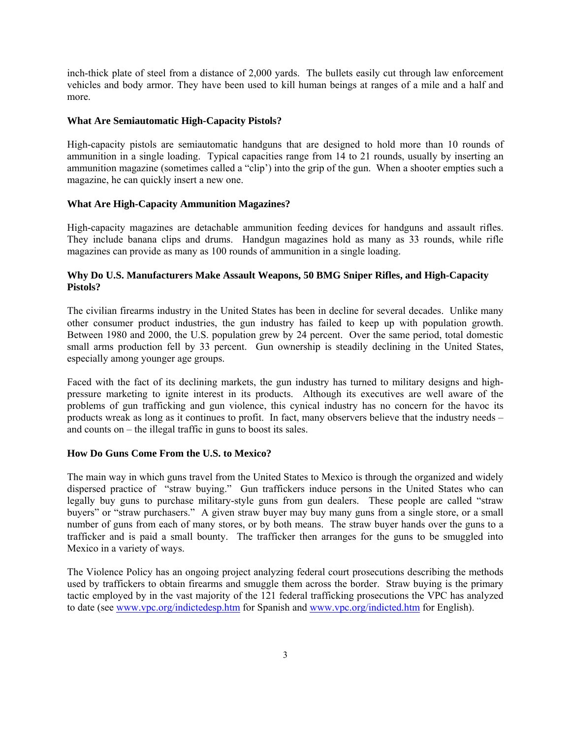inch-thick plate of steel from a distance of 2,000 yards. The bullets easily cut through law enforcement vehicles and body armor. They have been used to kill human beings at ranges of a mile and a half and more.

#### **What Are Semiautomatic High-Capacity Pistols?**

High-capacity pistols are semiautomatic handguns that are designed to hold more than 10 rounds of ammunition in a single loading. Typical capacities range from 14 to 21 rounds, usually by inserting an ammunition magazine (sometimes called a "clip') into the grip of the gun. When a shooter empties such a magazine, he can quickly insert a new one.

## **What Are High-Capacity Ammunition Magazines?**

High-capacity magazines are detachable ammunition feeding devices for handguns and assault rifles. They include banana clips and drums. Handgun magazines hold as many as 33 rounds, while rifle magazines can provide as many as 100 rounds of ammunition in a single loading.

## **Why Do U.S. Manufacturers Make Assault Weapons, 50 BMG Sniper Rifles, and High-Capacity Pistols?**

The civilian firearms industry in the United States has been in decline for several decades. Unlike many other consumer product industries, the gun industry has failed to keep up with population growth. Between 1980 and 2000, the U.S. population grew by 24 percent. Over the same period, total domestic small arms production fell by 33 percent. Gun ownership is steadily declining in the United States, especially among younger age groups.

Faced with the fact of its declining markets, the gun industry has turned to military designs and highpressure marketing to ignite interest in its products. Although its executives are well aware of the problems of gun trafficking and gun violence, this cynical industry has no concern for the havoc its products wreak as long as it continues to profit. In fact, many observers believe that the industry needs – and counts on – the illegal traffic in guns to boost its sales.

#### **How Do Guns Come From the U.S. to Mexico?**

The main way in which guns travel from the United States to Mexico is through the organized and widely dispersed practice of "straw buying." Gun traffickers induce persons in the United States who can legally buy guns to purchase military-style guns from gun dealers. These people are called "straw buyers" or "straw purchasers." A given straw buyer may buy many guns from a single store, or a small number of guns from each of many stores, or by both means. The straw buyer hands over the guns to a trafficker and is paid a small bounty. The trafficker then arranges for the guns to be smuggled into Mexico in a variety of ways.

The Violence Policy has an ongoing project analyzing federal court prosecutions describing the methods used by traffickers to obtain firearms and smuggle them across the border. Straw buying is the primary tactic employed by in the vast majority of the 121 federal trafficking prosecutions the VPC has analyzed to date (see www.vpc.org/indictedesp.htm for Spanish and www.vpc.org/indicted.htm for English).